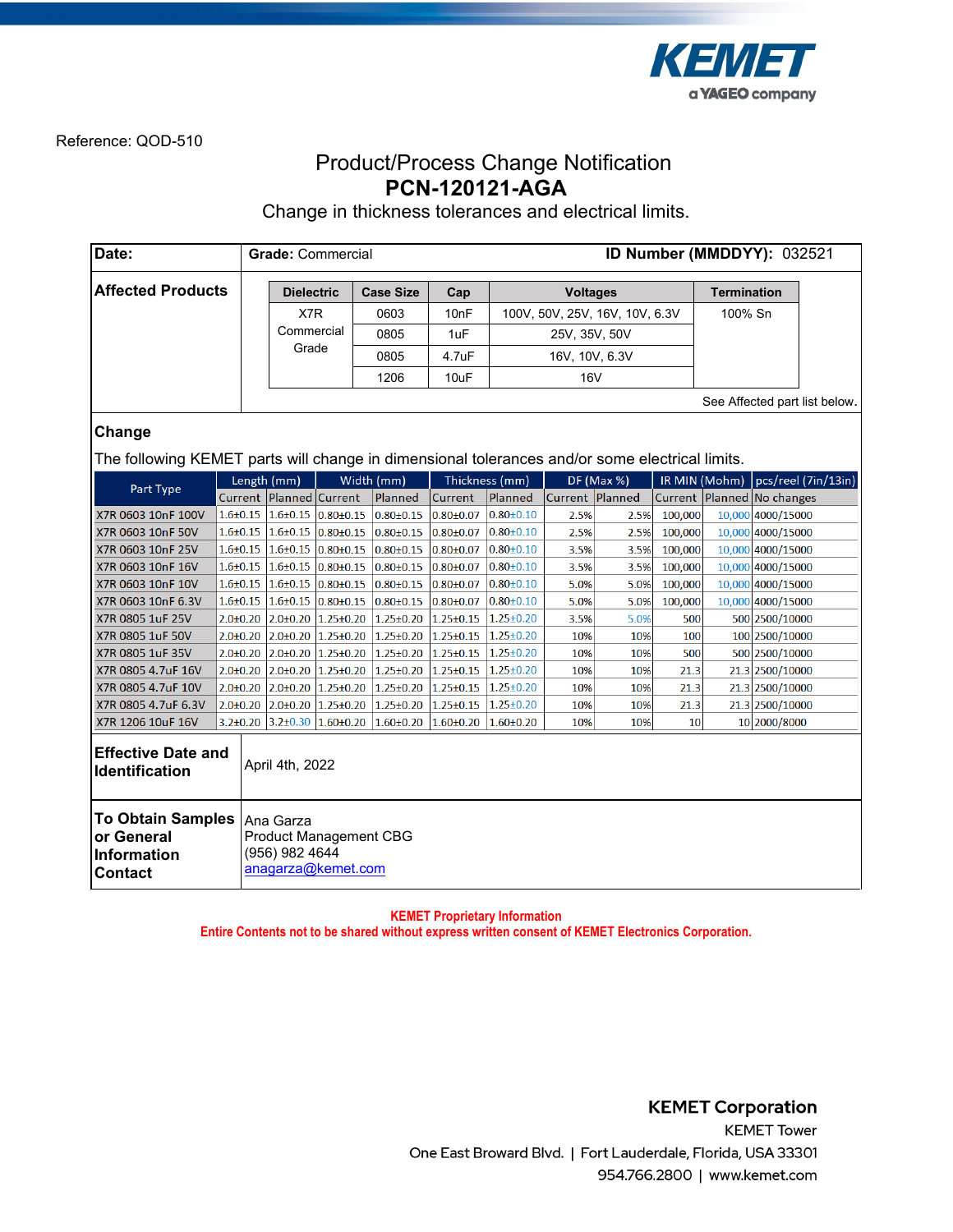

## Product/Process Change Notification **PCN-120121-AGA**

Change in thickness tolerances and electrical limits.

| Date:                                                                                          |                | ID Number (MMDDYY): 032521<br><b>Grade: Commercial</b>                             |  |                                                                                             |                   |                  |                 |                                |         |                               |                                |  |
|------------------------------------------------------------------------------------------------|----------------|------------------------------------------------------------------------------------|--|---------------------------------------------------------------------------------------------|-------------------|------------------|-----------------|--------------------------------|---------|-------------------------------|--------------------------------|--|
| <b>Affected Products</b>                                                                       |                | <b>Dielectric</b>                                                                  |  | <b>Case Size</b>                                                                            | Cap               |                  | <b>Voltages</b> |                                |         | <b>Termination</b>            |                                |  |
|                                                                                                |                | X7R                                                                                |  | 0603                                                                                        | 10 <sub>n</sub> F |                  |                 | 100V, 50V, 25V, 16V, 10V, 6.3V |         | 100% Sn                       |                                |  |
|                                                                                                |                | Commercial                                                                         |  | 0805                                                                                        | 1uF               | 25V, 35V, 50V    |                 |                                |         |                               |                                |  |
|                                                                                                |                | Grade                                                                              |  | 0805                                                                                        | 4.7uF             |                  | 16V, 10V, 6.3V  |                                |         |                               |                                |  |
|                                                                                                |                |                                                                                    |  | 1206                                                                                        | 10uF              |                  |                 |                                |         |                               |                                |  |
|                                                                                                |                |                                                                                    |  |                                                                                             |                   |                  | <b>16V</b>      |                                |         |                               |                                |  |
|                                                                                                |                |                                                                                    |  |                                                                                             |                   |                  |                 |                                |         | See Affected part list below. |                                |  |
| Change                                                                                         |                |                                                                                    |  |                                                                                             |                   |                  |                 |                                |         |                               |                                |  |
| The following KEMET parts will change in dimensional tolerances and/or some electrical limits. |                |                                                                                    |  |                                                                                             |                   |                  |                 |                                |         |                               |                                |  |
|                                                                                                |                |                                                                                    |  |                                                                                             |                   |                  |                 |                                |         |                               |                                |  |
| Part Type                                                                                      |                | Length (mm)                                                                        |  | Width (mm)                                                                                  |                   | Thickness (mm)   |                 | <b>DF</b> (Max %)              |         | IR MIN (Mohm)                 | pcs/reel (7in/13in)            |  |
|                                                                                                |                | Current   Planned   Current                                                        |  | Planned                                                                                     | <b>Current</b>    | Planned          |                 | Current Planned                |         |                               | Current   Planned   No changes |  |
| X7R 0603 10nF 100V                                                                             |                | $1.6\pm0.15$ $1.6\pm0.15$ $0.80\pm0.15$                                            |  | $0.80 \pm 0.15$                                                                             | $0.80 \pm 0.07$   | $0.80 \pm 0.10$  | 2.5%            | 2.5%                           | 100,000 |                               | 10,000 4000/15000              |  |
| X7R 0603 10nF 50V                                                                              |                | $1.6\pm0.15$ $1.6\pm0.15$ $0.80\pm0.15$                                            |  | $0.80 \pm 0.15$                                                                             | $0.80{\pm}0.07$   | $0.80 \pm 0.10$  | 2.5%            | 2.5%                           | 100,000 |                               | 10,000 4000/15000              |  |
| X7R 0603 10nF 25V                                                                              | $1.6{\pm}0.15$ | $1.6\pm0.15$ 0.80 $\pm0.15$                                                        |  | $0.80 \pm 0.15$                                                                             | $0.80{\pm}0.07$   | $0.80 \pm 0.10$  | 3.5%            | 3.5%                           | 100,000 |                               | 10,000 4000/15000              |  |
| X7R 0603 10nF 16V                                                                              | $1.6 \pm 0.15$ | $1.6\pm0.15$ 0.80 $\pm$ 0.15                                                       |  | $0.80 \pm 0.15$                                                                             | $0.80{\pm}0.07$   | $ 0.80 \pm 0.10$ | 3.5%            | 3.5%                           | 100,000 |                               | 10,000 4000/15000              |  |
| X7R 0603 10nF 10V                                                                              | $1.6 + 0.15$   | $1.6\pm0.15$ 0.80 $\pm0.15$                                                        |  | $0.80 \pm 0.15$                                                                             | $0.80 \pm 0.07$   | $0.80 \pm 0.10$  | 5.0%            | 5.0%                           | 100,000 |                               | 10,000 4000/15000              |  |
| X7R 0603 10nF 6.3V                                                                             | $1.6 \pm 0.15$ | $1.6 \pm 0.15$ 0.80 $\pm$ 0.15                                                     |  | $0.80 \pm 0.15$                                                                             | $0.80 \pm 0.07$   | $0.80 \pm 0.10$  | 5.0%            | 5.0%                           | 100,000 |                               | 10,000 4000/15000              |  |
| X7R 0805 1uF 25V                                                                               | $2.0 + 0.20$   | 2.0±0.20 1.25±0.20                                                                 |  | $1.25 \pm 0.20$                                                                             | $1.25 \pm 0.15$   | $1.25 \pm 0.20$  | 3.5%            | 5.0%                           | 500     |                               | 500 2500/10000                 |  |
| X7R 0805 1uF 50V                                                                               | $2.0 \pm 0.20$ | 2.0±0.20 1.25±0.20                                                                 |  | $1.25 \pm 0.20$                                                                             | $1.25 \pm 0.15$   | $1.25 \pm 0.20$  | 10%             | 10%                            | 100     |                               | 100 2500/10000                 |  |
| X7R 0805 1uF 35V                                                                               | $2.0 \pm 0.20$ | 2.0±0.20 1.25±0.20                                                                 |  | $1.25 \pm 0.20$                                                                             | $1.25 \pm 0.15$   | $1.25 \pm 0.20$  | 10%             | 10%                            | 500     |                               | 500 2500/10000                 |  |
| X7R 0805 4.7uF 16V                                                                             | $2.0 \pm 0.20$ | 2.0±0.20 1.25±0.20                                                                 |  | $1.25 \pm 0.20$                                                                             | $1.25 \pm 0.15$   | $1.25 \pm 0.20$  | 10%             | 10%                            | 21.3    |                               | 21.3 2500/10000                |  |
| X7R 0805 4.7uF 10V                                                                             | $2.0 \pm 0.20$ | 2.0±0.20 1.25±0.20                                                                 |  | $1.25 \pm 0.20$                                                                             | $1.25 \pm 0.15$   | $1.25 \pm 0.20$  | 10%             | 10%                            | 21.3    |                               | 21.3 2500/10000                |  |
| X7R 0805 4.7uF 6.3V                                                                            |                | $2.0\pm0.20$ 2.0 $\pm0.20$ 1.25 $\pm0.20$                                          |  | $1.25 \pm 0.20$                                                                             | $1.25 \pm 0.15$   | $1.25 \pm 0.20$  | 10%             | 10%                            | 21.3    |                               | 21.3 2500/10000                |  |
| X7R 1206 10uF 16V                                                                              |                |                                                                                    |  | $3.2\pm0.20$ 3.2 $\pm$ 0.30 1.60 $\pm$ 0.20 1.60 $\pm$ 0.20 1.60 $\pm$ 0.20 1.60 $\pm$ 0.20 |                   |                  | 10%             | 10%                            | 10      |                               | 10 2000/8000                   |  |
| <b>Effective Date and</b><br>April 4th, 2022<br>Identification                                 |                |                                                                                    |  |                                                                                             |                   |                  |                 |                                |         |                               |                                |  |
| <b>To Obtain Samples</b><br>or General<br>Information<br><b>Contact</b>                        |                | Ana Garza<br><b>Product Management CBG</b><br>(956) 982 4644<br>anagarza@kemet.com |  |                                                                                             |                   |                  |                 |                                |         |                               |                                |  |

**KEMET Proprietary Information Entire Contents not to be shared without express written consent of KEMET Electronics Corporation.**

> **KEMET Corporation KEMET Tower** One East Broward Blvd. | Fort Lauderdale, Florida, USA 33301 954.766.2800 | www.kemet.com